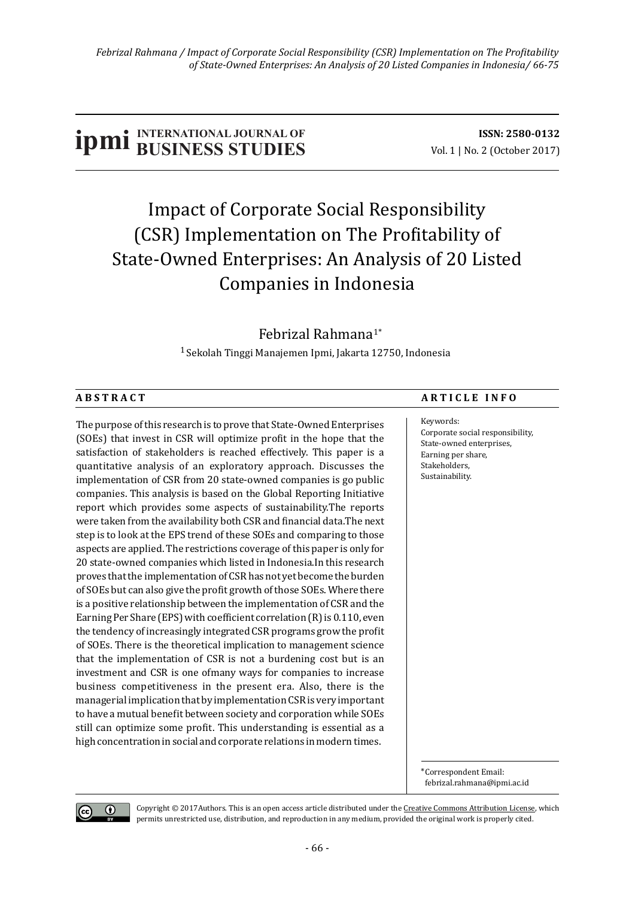# **ISSN:** 2580-0132<br> **ISSN:** 2580-0132<br> **ISSN:** 2580-0132<br>
Vol. 1 | No. 2 (October 2017)

## Impact of Corporate Social Responsibility (CSR) Implementation on The Profitability of State-Owned Enterprises: An Analysis of 20 Listed Companies in Indonesia

### Febrizal Rahmana1\*

 $1$  Sekolah Tinggi Manajemen Ipmi, Jakarta 12750, Indonesia

The purpose of this research is to prove that State-Owned Enterprises (SOEs) that invest in CSR will optimize profit in the hope that the satisfaction of stakeholders is reached effectively. This paper is a quantitative analysis of an exploratory approach. Discusses the implementation of CSR from 20 state-owned companies is go public companies. This analysis is based on the Global Reporting Initiative report which provides some aspects of sustainability.The reports were taken from the availability both CSR and financial data.The next step is to look at the EPS trend of these SOEs and comparing to those aspects are applied. The restrictions coverage of this paper is only for 20 state-owned companies which listed in Indonesia.In this research proves that the implementation of CSR has not yet become the burden of SOEs but can also give the profit growth of those SOEs. Where there is a positive relationship between the implementation of CSR and the Earning Per Share (EPS) with coefficient correlation (R) is 0.110, even the tendency of increasingly integrated CSR programs grow the profit of SOEs. There is the theoretical implication to management science that the implementation of CSR is not a burdening cost but is an investment and CSR is one ofmany ways for companies to increase business competitiveness in the present era. Also, there is the managerial implication that by implementation CSR is very important to have a mutual benefit between society and corporation while SOEs still can optimize some profit. This understanding is essential as a high concentration in social and corporate relations in modern times.

#### ABSTRACT ARTICLE INFO

Keywords: Corporate social responsibility, State-owned enterprises. Earning per share, Stakeholders, Sustainability.

\*Correspondent Email: febrizal.rahmana@ipmi.ac.id

 $(c<sub>c</sub>)$  $\odot$ 

Copyright  $@$  2017Authors. This is an open access article distributed under the Creative Commons Attribution License, which permits unrestricted use, distribution, and reproduction in any medium, provided the original work is properly cited.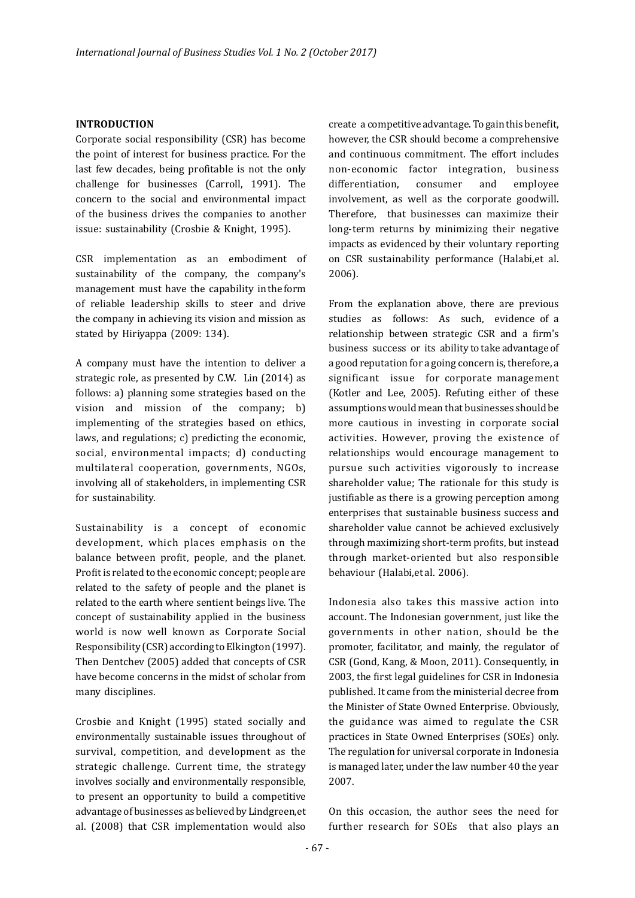#### **INTRODUCTION**

Corporate social responsibility (CSR) has become the point of interest for business practice. For the last few decades, being profitable is not the only challenge for businesses (Carroll, 1991). The concern to the social and environmental impact of the business drives the companies to another issue: sustainability (Crosbie & Knight, 1995).

CSR implementation as an embodiment of sustainability of the company, the company's management must have the capability in the form of reliable leadership skills to steer and drive the company in achieving its vision and mission as stated by Hiriyappa (2009: 134).

A company must have the intention to deliver a strategic role, as presented by C.W. Lin (2014) as follows: a) planning some strategies based on the vision and mission of the company; b) implementing of the strategies based on ethics, laws, and regulations;  $c$ ) predicting the economic, social, environmental impacts; d) conducting multilateral cooperation, governments, NGOs, involving all of stakeholders, in implementing CSR for sustainability.

Sustainability is a concept of economic development, which places emphasis on the balance between profit, people, and the planet. Profit is related to the economic concept; people are related to the safety of people and the planet is related to the earth where sentient beings live. The concept of sustainability applied in the business world is now well known as Corporate Social Responsibility (CSR) according to Elkington (1997). Then Dentchev (2005) added that concepts of CSR have become concerns in the midst of scholar from many disciplines.

Crosbie and Knight (1995) stated socially and environmentally sustainable issues throughout of survival, competition, and development as the strategic challenge. Current time, the strategy involves socially and environmentally responsible, to present an opportunity to build a competitive advantage of businesses as believed by Lindgreen, et al. (2008) that CSR implementation would also 

create a competitive advantage. To gain this benefit, however, the CSR should become a comprehensive and continuous commitment. The effort includes non-economic factor integration, business differentiation, consumer and employee involvement, as well as the corporate goodwill. Therefore, that businesses can maximize their long-term returns by minimizing their negative impacts as evidenced by their voluntary reporting on CSR sustainability performance (Halabi,et al. 2006).

From the explanation above, there are previous studies as follows: As such, evidence of a relationship between strategic CSR and a firm's business success or its ability to take advantage of a good reputation for a going concern is, therefore, a significant issue for corporate management (Kotler and Lee, 2005). Refuting either of these assumptions would mean that businesses should be more cautious in investing in corporate social activities. However, proving the existence of relationships would encourage management to pursue such activities vigorously to increase shareholder value; The rationale for this study is justifiable as there is a growing perception among enterprises that sustainable business success and shareholder value cannot be achieved exclusively through maximizing short-term profits, but instead through market-oriented but also responsible behaviour (Halabi, et al. 2006).

Indonesia also takes this massive action into account. The Indonesian government, just like the governments in other nation, should be the promoter, facilitator, and mainly, the regulator of CSR (Gond, Kang, & Moon, 2011). Consequently, in 2003, the first legal guidelines for CSR in Indonesia published. It came from the ministerial decree from the Minister of State Owned Enterprise, Obviously, the guidance was aimed to regulate the CSR practices in State Owned Enterprises (SOEs) only. The regulation for universal corporate in Indonesia is managed later, under the law number 40 the year 2007.

On this occasion, the author sees the need for further research for SOEs that also plays an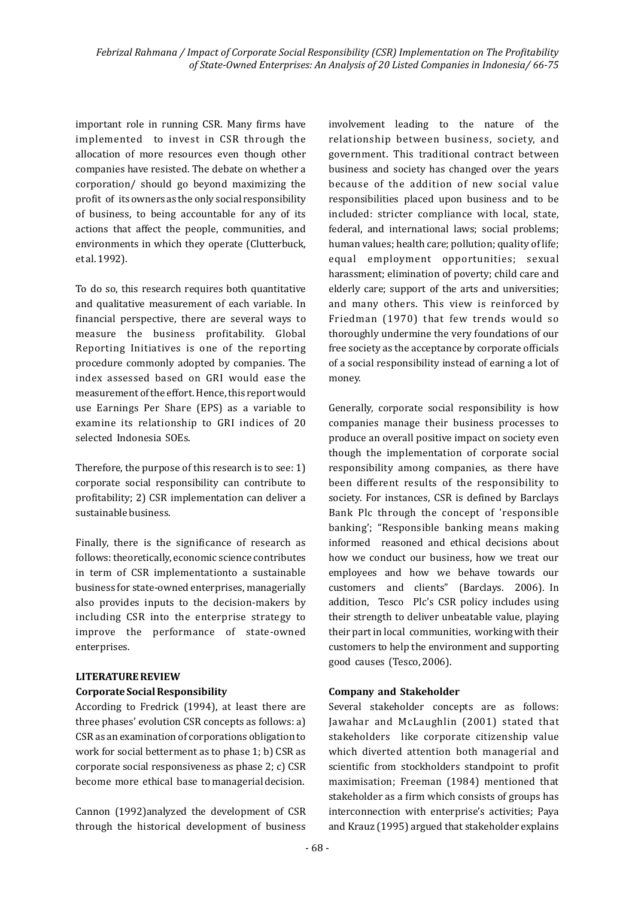important role in running CSR. Many firms have implemented to invest in CSR through the allocation of more resources even though other companies have resisted. The debate on whether a corporation/ should go beyond maximizing the profit of its owners as the only social responsibility of business, to being accountable for any of its actions that affect the people, communities, and environments in which they operate (Clutterbuck, et al. 1992).

To do so, this research requires both quantitative and qualitative measurement of each variable. In inancial perspective, there are several ways to measure the business profitability. Global Reporting Initiatives is one of the reporting procedure commonly adopted by companies. The index assessed based on GRI would ease the measurement of the effort. Hence, this report would use Earnings Per Share (EPS) as a variable to examine its relationship to GRI indices of 20 selected Indonesia SOEs.

Therefore, the purpose of this research is to see:  $1$ ) corporate social responsibility can contribute to profitability; 2) CSR implementation can deliver a sustainable business.

Finally, there is the significance of research as follows: theoretically, economic science contributes in term of CSR implementationto a sustainable business for state-owned enterprises, managerially also provides inputs to the decision-makers by including CSR into the enterprise strategy to improve the performance of state-owned enterprises.

#### **LITERATURE REVIEW**

#### **Corporate Social Responsibility**

According to Fredrick (1994), at least there are three phases' evolution CSR concepts as follows: a) CSR as an examination of corporations obligation to work for social betterment as to phase 1; b) CSR as corporate social responsiveness as phase  $2; c)$  CSR become more ethical base to managerial decision.

Cannon (1992)analyzed the development of CSR through the historical development of business  involvement leading to the nature of the relationship between business, society, and government. This traditional contract between business and society has changed over the years because of the addition of new social value responsibilities placed upon business and to be included: stricter compliance with local, state, federal, and international laws; social problems; human values; health care; pollution; quality of life; equal employment opportunities; sexual harassment; elimination of poverty; child care and elderly care; support of the arts and universities; and many others. This view is reinforced by Friedman (1970) that few trends would so thoroughly undermine the very foundations of our free society as the acceptance by corporate officials of a social responsibility instead of earning a lot of money.

Generally, corporate social responsibility is how companies manage their business processes to produce an overall positive impact on society even though the implementation of corporate social responsibility among companies, as there have been different results of the responsibility to society. For instances, CSR is defined by Barclays Bank Plc through the concept of 'responsible banking'; "Responsible banking means making informed reasoned and ethical decisions about how we conduct our business, how we treat our employees and how we behave towards our customers and clients" (Barclays. 2006). In addition, Tesco Plc's CSR policy includes using their strength to deliver unbeatable value, playing their part in local communities, working with their customers to help the environment and supporting good causes (Tesco, 2006).

#### **Company and Stakeholder**

Several stakeholder concepts are as follows: Jawahar and McLaughlin (2001) stated that stakeholders like corporate citizenship value which diverted attention both managerial and scientific from stockholders standpoint to profit maximisation; Freeman (1984) mentioned that stakeholder as a firm which consists of groups has interconnection with enterprise's activities; Paya and Krauz (1995) argued that stakeholder explains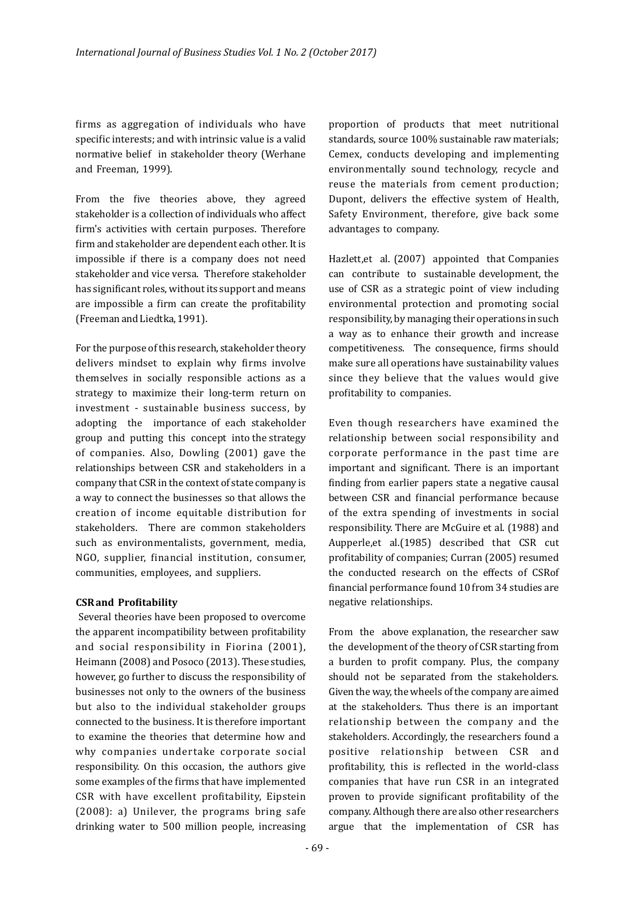irms as aggregation of individuals who have specific interests; and with intrinsic value is a valid normative belief in stakeholder theory (Werhane and Freeman, 1999).

From the five theories above, they agreed stakeholder is a collection of individuals who affect firm's activities with certain purposes. Therefore firm and stakeholder are dependent each other. It is impossible if there is a company does not need stakeholder and vice versa. Therefore stakeholder has significant roles, without its support and means are impossible a firm can create the profitability (Freeman and Liedtka, 1991).

For the purpose of this research, stakeholder theory delivers mindset to explain why firms involve themselves in socially responsible actions as a strategy to maximize their long-term return on investment - sustainable business success, by adopting the importance of each stakeholder group and putting this concept into the strategy of companies. Also, Dowling (2001) gave the relationships between CSR and stakeholders in a company that CSR in the context of state company is a way to connect the businesses so that allows the creation of income equitable distribution for stakeholders. There are common stakeholders such as environmentalists, government, media, NGO, supplier, inancial institution, consumer, communities, employees, and suppliers.

#### **CSR** and Profitability

Several theories have been proposed to overcome the apparent incompatibility between profitability and social responsibility in Fiorina (2001), Heimann (2008) and Posoco (2013). These studies, however, go further to discuss the responsibility of businesses not only to the owners of the business but also to the individual stakeholder groups connected to the business. It is therefore important to examine the theories that determine how and why companies undertake corporate social responsibility. On this occasion, the authors give some examples of the firms that have implemented CSR with have excellent profitability, Eipstein (2008): a) Unilever, the programs bring safe drinking water to 500 million people, increasing

proportion of products that meet nutritional standards, source 100% sustainable raw materials; Cemex, conducts developing and implementing environmentally sound technology, recycle and reuse the materials from cement production; Dupont, delivers the effective system of Health, Safety Environment, therefore, give back some advantages to company.

Hazlett, et al. (2007) appointed that Companies can contribute to sustainable development, the use of CSR as a strategic point of view including environmental protection and promoting social responsibility, by managing their operations in such a way as to enhance their growth and increase competitiveness. The consequence, firms should make sure all operations have sustainability values since they believe that the values would give profitability to companies.

Even though researchers have examined the relationship between social responsibility and corporate performance in the past time are important and significant. There is an important finding from earlier papers state a negative causal between CSR and financial performance because of the extra spending of investments in social responsibility. There are McGuire et al. (1988) and Aupperle,et al.(1985) described that CSR cut profitability of companies; Curran (2005) resumed the conducted research on the effects of CSRof financial performance found 10 from 34 studies are negative relationships.

From the above explanation, the researcher saw the development of the theory of CSR starting from a burden to profit company. Plus, the company should not be separated from the stakeholders. Given the way, the wheels of the company are aimed at the stakeholders. Thus there is an important relationship between the company and the stakeholders. Accordingly, the researchers found a positive relationship between CSR and profitability, this is reflected in the world-class companies that have run CSR in an integrated proven to provide significant profitability of the company. Although there are also other researchers argue that the implementation of CSR has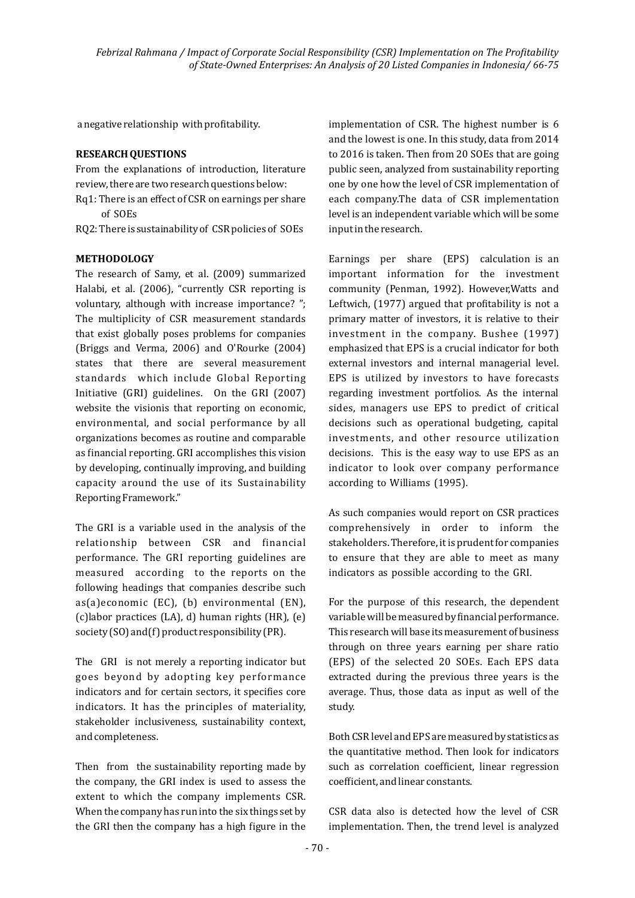a negative relationship with profitability.

#### **RESEARCH QUESTIONS**

From the explanations of introduction, literature review, there are two research questions below:

 $Rq1$ : There is an effect of CSR on earnings per share of SOEs

RQ2: There is sustainability of CSR policies of SOEs

#### **METHODOLOGY**

The research of Samy, et al. (2009) summarized Halabi, et al. (2006), "currently CSR reporting is voluntary, although with increase importance? "; The multiplicity of CSR measurement standards that exist globally poses problems for companies (Briggs and Verma, 2006) and O'Rourke (2004) states that there are several measurement standards which include Global Reporting Initiative (GRI) guidelines. On the GRI (2007) website the visionis that reporting on economic, environmental, and social performance by all organizations becomes as routine and comparable as financial reporting. GRI accomplishes this vision by developing, continually improving, and building capacity around the use of its Sustainability Reporting Framework."

The GRI is a variable used in the analysis of the relationship between CSR and financial performance. The GRI reporting guidelines are measured according to the reports on the following headings that companies describe such as(a)economic (EC), (b) environmental (EN),  $(c)$ labor practices  $(LA)$ , d) human rights  $(HR)$ ,  $(e)$ society  $(SO)$  and  $(f)$  product responsibility  $(PR)$ .

The GRI is not merely a reporting indicator but goes beyond by adopting key performance indicators and for certain sectors, it specifies core indicators. It has the principles of materiality, stakeholder inclusiveness, sustainability context, and completeness.

Then from the sustainability reporting made by the company, the GRI index is used to assess the extent to which the company implements CSR. When the company has run into the six things set by the GRI then the company has a high figure in the implementation of CSR. The highest number is 6 and the lowest is one. In this study, data from 2014 to 2016 is taken. Then from 20 SOEs that are going public seen, analyzed from sustainability reporting one by one how the level of CSR implementation of each company.The data of CSR implementation level is an independent variable which will be some input in the research.

Earnings per share (EPS) calculation is an important information for the investment community (Penman, 1992). However, Watts and Leftwich,  $(1977)$  argued that profitability is not a primary matter of investors, it is relative to their investment in the company. Bushee (1997) emphasized that EPS is a crucial indicator for both external investors and internal managerial level. EPS is utilized by investors to have forecasts regarding investment portfolios. As the internal sides, managers use EPS to predict of critical decisions such as operational budgeting, capital investments, and other resource utilization decisions. This is the easy way to use EPS as an indicator to look over company performance according to Williams (1995).

As such companies would report on CSR practices comprehensively in order to inform the stakeholders. Therefore, it is prudent for companies to ensure that they are able to meet as many indicators as possible according to the GRI.

For the purpose of this research, the dependent variable will be measured by financial performance. This research will base its measurement of business through on three years earning per share ratio (EPS) of the selected 20 SOEs. Each EPS data extracted during the previous three years is the average. Thus, those data as input as well of the study. 

Both CSR level and EPS are measured by statistics as the quantitative method. Then look for indicators such as correlation coefficient, linear regression coefficient, and linear constants.

CSR data also is detected how the level of CSR implementation. Then, the trend level is analyzed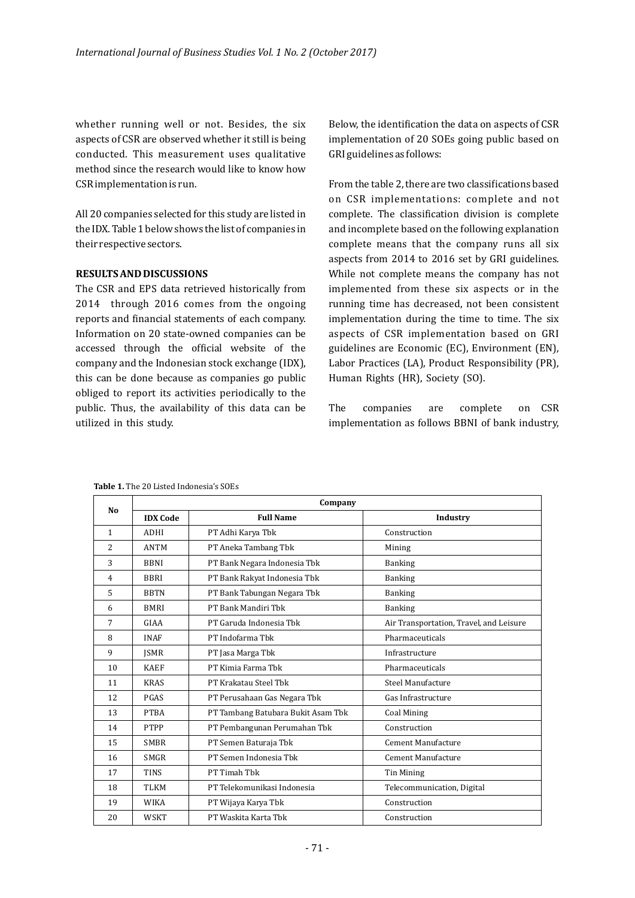whether running well or not. Besides, the six aspects of CSR are observed whether it still is being conducted. This measurement uses qualitative method since the research would like to know how CSR implementation is run.

All 20 companies selected for this study are listed in the IDX. Table 1 below shows the list of companies in their respective sectors.

#### **RESULTS AND DISCUSSIONS**

The CSR and EPS data retrieved historically from 2014 through 2016 comes from the ongoing reports and financial statements of each company. Information on 20 state-owned companies can be accessed through the official website of the company and the Indonesian stock exchange (IDX), this can be done because as companies go public obliged to report its activities periodically to the public. Thus, the availability of this data can be utilized in this study.

Below, the identification the data on aspects of CSR implementation of 20 SOEs going public based on GRI guidelines as follows:

From the table 2, there are two classifications based on CSR implementations: complete and not complete. The classification division is complete and incomplete based on the following explanation complete means that the company runs all six aspects from 2014 to 2016 set by GRI guidelines. While not complete means the company has not implemented from these six aspects or in the running time has decreased, not been consistent implementation during the time to time. The six aspects of CSR implementation based on GRI guidelines are Economic (EC), Environment (EN), Labor Practices (LA), Product Responsibility (PR), Human Rights (HR), Society (SO).

The companies are complete on CSR implementation as follows BBNI of bank industry,

| N <sub>0</sub>           | Company         |                                    |                                         |  |  |  |
|--------------------------|-----------------|------------------------------------|-----------------------------------------|--|--|--|
|                          | <b>IDX</b> Code | <b>Full Name</b>                   | Industry                                |  |  |  |
| $\mathbf{1}$             | <b>ADHI</b>     | PT Adhi Karya Tbk                  | Construction                            |  |  |  |
| $\overline{\mathcal{L}}$ | <b>ANTM</b>     | PT Aneka Tambang Tbk               | Mining                                  |  |  |  |
| 3                        | <b>BBNI</b>     | PT Bank Negara Indonesia Tbk       | <b>Banking</b>                          |  |  |  |
| $\overline{4}$           | <b>BBRI</b>     | PT Bank Rakyat Indonesia Tbk       | <b>Banking</b>                          |  |  |  |
| 5                        | <b>BBTN</b>     | PT Bank Tabungan Negara Tbk        | <b>Banking</b>                          |  |  |  |
| 6                        | <b>BMRI</b>     | PT Bank Mandiri Thk                | <b>Banking</b>                          |  |  |  |
| 7                        | GIAA            | PT Garuda Indonesia Tbk            | Air Transportation, Travel, and Leisure |  |  |  |
| 8                        | <b>INAF</b>     | PT Indofarma Thk                   | Pharmaceuticals                         |  |  |  |
| 9                        | <b>ISMR</b>     | PT Jasa Marga Tbk                  | Infrastructure                          |  |  |  |
| 10                       | <b>KAEF</b>     | PT Kimia Farma Tbk                 | Pharmaceuticals                         |  |  |  |
| 11                       | <b>KRAS</b>     | PT Krakatau Steel Thk              | Steel Manufacture                       |  |  |  |
| 12                       | PGAS            | PT Perusahaan Gas Negara Tbk       | Gas Infrastructure                      |  |  |  |
| 13                       | <b>PTBA</b>     | PT Tambang Batubara Bukit Asam Tbk | <b>Coal Mining</b>                      |  |  |  |
| 14                       | <b>PTPP</b>     | PT Pembangunan Perumahan Tbk       | Construction                            |  |  |  |
| 15                       | <b>SMRR</b>     | PT Semen Baturaja Tbk              | Cement Manufacture                      |  |  |  |
| 16                       | <b>SMGR</b>     | PT Semen Indonesia Tbk             | Cement Manufacture                      |  |  |  |
| 17                       | <b>TINS</b>     | PT Timah Thk                       | Tin Mining                              |  |  |  |
| 18                       | <b>TLKM</b>     | PT Telekomunikasi Indonesia        | Telecommunication, Digital              |  |  |  |
| 19                       | <b>WIKA</b>     | PT Wijaya Karya Tbk                | Construction                            |  |  |  |
| 20                       | <b>WSKT</b>     | PT Waskita Karta Thk               | Construction                            |  |  |  |

**Table 1.** The 20 Listed Indonesia's SOEs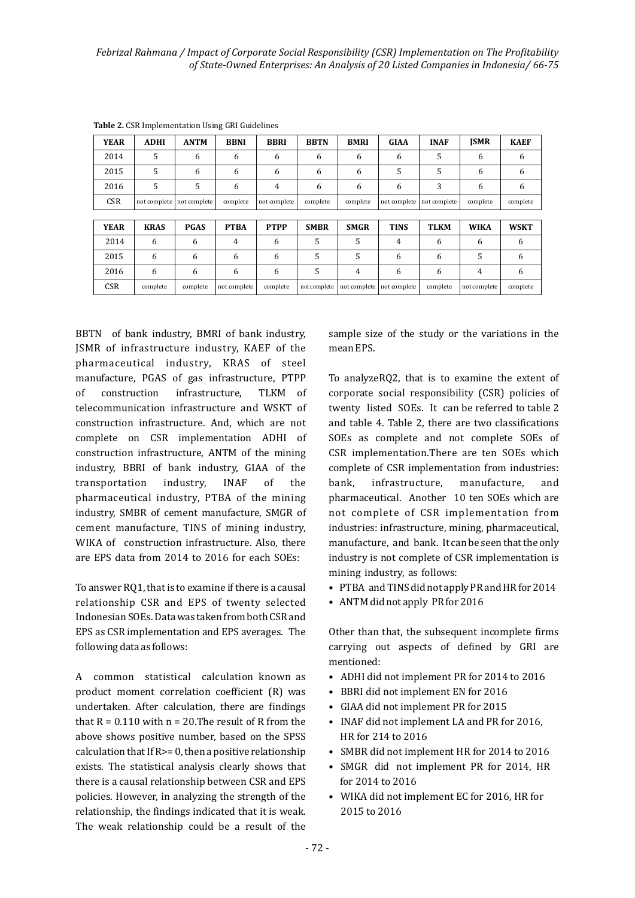| <b>YEAR</b> | <b>ADHI</b> | <b>ANTM</b>                 | <b>BBNI</b>  | <b>BBRI</b>  | <b>BBTN</b>  | <b>BMRI</b>  | <b>GIAA</b>  | <b>INAF</b>  | <b>ISMR</b>  | <b>KAEF</b> |
|-------------|-------------|-----------------------------|--------------|--------------|--------------|--------------|--------------|--------------|--------------|-------------|
| 2014        | 5           | 6                           | 6            | 6            | 6            | 6            | 6            | 5            | 6            | 6           |
| 2015        | 5           | 6                           | 6            | 6            | 6            | 6            | 5            | 5            | 6            | 6           |
| 2016        | 5           | 5                           | 6            | 4            | 6            | 6            | 6            | 3            | 6            | 6           |
| <b>CSR</b>  |             | not complete   not complete | complete     | not complete | complete     | complete     | not complete | not complete | complete     | complete    |
|             |             |                             |              |              |              |              |              |              |              |             |
| <b>YEAR</b> | <b>KRAS</b> | <b>PGAS</b>                 | <b>PTBA</b>  | <b>PTPP</b>  | <b>SMBR</b>  | <b>SMGR</b>  | <b>TINS</b>  | <b>TLKM</b>  | <b>WIKA</b>  | <b>WSKT</b> |
| 2014        | 6           | 6                           | 4            | 6            | 5            | 5            | 4            | 6            | 6            | 6           |
| 2015        | 6           | 6                           | 6            | 6            | 5            | 5            | 6            | 6            | 5            | 6           |
| 2016        | 6           | 6                           | 6            | 6            | 5            | 4            | 6            | 6            | 4            | 6           |
| <b>CSR</b>  | complete    | complete                    | not complete | complete     | not complete | not complete | not complete | complete     | not complete | complete    |

**Table 2.** CSR Implementation Using GRI Guidelines

BBTN of bank industry, BMRI of bank industry, JSMR of infrastructure industry, KAEF of the pharmaceutical industry, KRAS of steel manufacture, PGAS of gas infrastructure, PTPP of construction infrastructure. TLKM of telecommunication infrastructure and WSKT of construction infrastructure. And, which are not complete on CSR implementation ADHI of construction infrastructure, ANTM of the mining industry, BBRI of bank industry, GIAA of the transportation industry, INAF of the pharmaceutical industry, PTBA of the mining industry, SMBR of cement manufacture, SMGR of cement manufacture, TINS of mining industry, WIKA of construction infrastructure. Also, there are EPS data from 2014 to 2016 for each SOEs:

To answer RQ1, that is to examine if there is a causal relationship CSR and EPS of twenty selected Indonesian SOEs. Data was taken from both CSR and EPS as CSR implementation and EPS averages. The following data as follows:

A common statistical calculation known as product moment correlation coefficient  $(R)$  was undertaken. After calculation, there are findings that  $R = 0.110$  with  $n = 20$ . The result of R from the above shows positive number, based on the SPSS calculation that If  $R$  > = 0, then a positive relationship exists. The statistical analysis clearly shows that there is a causal relationship between CSR and EPS policies. However, in analyzing the strength of the relationship, the findings indicated that it is weak. The weak relationship could be a result of the  sample size of the study or the variations in the mean EPS

To analyzeRQ2, that is to examine the extent of corporate social responsibility (CSR) policies of twenty listed SOEs. It can be referred to table 2 and table 4. Table 2, there are two classifications SOEs as complete and not complete SOEs of CSR implementation.There are ten SOEs which complete of CSR implementation from industries: bank, infrastructure, manufacture, and pharmaceutical. Another 10 ten SOEs which are not complete of CSR implementation from industries: infrastructure, mining, pharmaceutical, manufacture, and bank. It can be seen that the only industry is not complete of CSR implementation is mining industry, as follows:

- PTBA and TINS did not apply PR and HR for 2014
- ANTM did not apply PR for 2016

Other than that, the subsequent incomplete firms carrying out aspects of defined by GRI are mentioned:

- ADHI did not implement PR for 2014 to 2016
- BBRI did not implement EN for 2016
- GIAA did not implement PR for 2015
- INAF did not implement LA and PR for 2016, HR for 214 to 2016
- SMBR did not implement HR for 2014 to 2016
- SMGR did not implement PR for 2014, HR for 2014 to 2016
- WIKA did not implement EC for 2016, HR for 2015 to 2016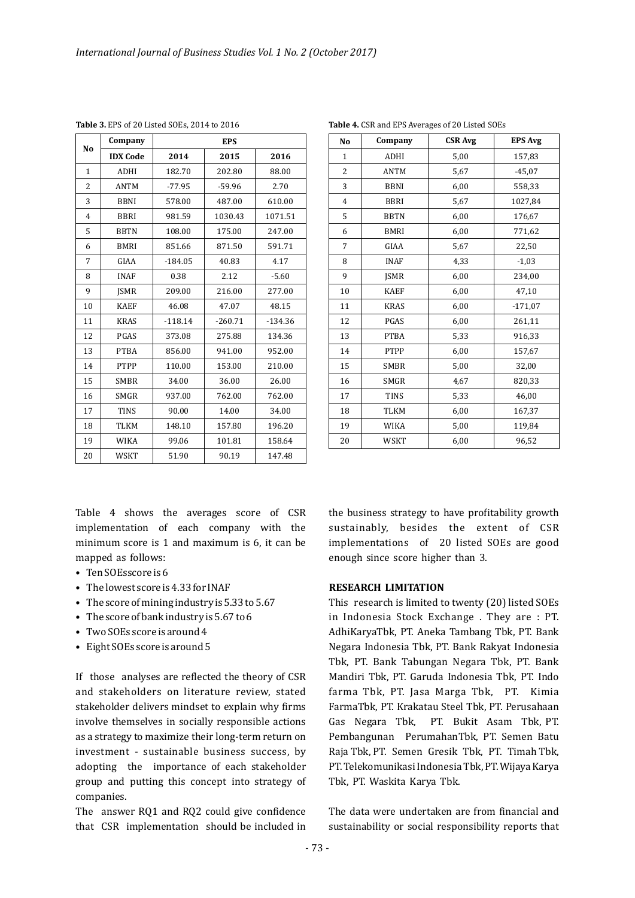| N <sub>0</sub> | Company         | <b>EPS</b> |           |           |  |  |
|----------------|-----------------|------------|-----------|-----------|--|--|
|                | <b>IDX</b> Code | 2014       | 2015      | 2016      |  |  |
| 1              | <b>ADHI</b>     | 182.70     | 202.80    | 88.00     |  |  |
| $\overline{c}$ | <b>ANTM</b>     | $-77.95$   | $-59.96$  | 2.70      |  |  |
| 3              | <b>BBNI</b>     | 578.00     | 487.00    | 610.00    |  |  |
| $\overline{4}$ | <b>BBRI</b>     | 981.59     | 1030.43   | 1071.51   |  |  |
| 5              | <b>BBTN</b>     | 108.00     | 175.00    | 247.00    |  |  |
| 6              | <b>BMRI</b>     | 851.66     | 871.50    | 591.71    |  |  |
| 7              | GIAA            | $-184.05$  | 40.83     | 4.17      |  |  |
| 8              | <b>INAF</b>     | 0.38       | 2.12      | $-5.60$   |  |  |
| 9              | <b>ISMR</b>     | 209.00     | 216.00    | 277.00    |  |  |
| 10             | <b>KAEF</b>     | 46.08      | 47.07     | 48.15     |  |  |
| 11             | <b>KRAS</b>     | $-118.14$  | $-260.71$ | $-134.36$ |  |  |
| 12             | PGAS            | 373.08     | 275.88    | 134.36    |  |  |
| 13             | <b>PTBA</b>     | 856.00     | 941.00    | 952.00    |  |  |
| 14             | PTPP            | 110.00     | 153.00    | 210.00    |  |  |
| 15             | <b>SMBR</b>     | 34.00      | 36.00     | 26.00     |  |  |
| 16             | SMGR            | 937.00     | 762.00    | 762.00    |  |  |
| 17             | <b>TINS</b>     | 90.00      | 14.00     | 34.00     |  |  |
| 18             | <b>TLKM</b>     | 148.10     | 157.80    | 196.20    |  |  |
| 19             | <b>WIKA</b>     | 99.06      | 101.81    | 158.64    |  |  |
| 20             | <b>WSKT</b>     | 51.90      | 90.19     | 147.48    |  |  |

**Table 3.** EPS of 20 Listed SOEs, 2014 to 2016

| No             | Company     | <b>CSR Avg</b> | <b>EPS Avg</b> |  |  |  |  |
|----------------|-------------|----------------|----------------|--|--|--|--|
| 1              | ADHI        | 5,00           | 157,83         |  |  |  |  |
| $\overline{2}$ | <b>ANTM</b> | 5,67           | $-45,07$       |  |  |  |  |
| 3              | <b>BBNI</b> | 6,00           | 558,33         |  |  |  |  |
| $\overline{4}$ | <b>BBRI</b> | 5,67           | 1027,84        |  |  |  |  |
| 5              | <b>BBTN</b> | 6,00           | 176,67         |  |  |  |  |
| 6              | <b>BMRI</b> | 6,00           | 771,62         |  |  |  |  |
| 7              | GIAA        | 5,67           | 22,50          |  |  |  |  |
| 8              | <b>INAF</b> | 4,33           | $-1,03$        |  |  |  |  |
| 9              | <b>ISMR</b> | 6,00           | 234,00         |  |  |  |  |
| 10             | <b>KAEF</b> | 6,00           | 47,10          |  |  |  |  |
| 11             | <b>KRAS</b> | 6,00           | $-171,07$      |  |  |  |  |
| 12             | PGAS        | 6,00           | 261,11         |  |  |  |  |
| 13             | <b>PTBA</b> | 5,33           | 916,33         |  |  |  |  |
| 14             | PTPP        | 6,00           | 157,67         |  |  |  |  |
| 15             | <b>SMBR</b> | 5,00           | 32,00          |  |  |  |  |
| 16             | <b>SMGR</b> | 4,67           | 820,33         |  |  |  |  |
| 17             | <b>TINS</b> | 5,33           | 46,00          |  |  |  |  |
| 18             | <b>TLKM</b> | 6,00           | 167,37         |  |  |  |  |
| 19             | <b>WIKA</b> | 5,00           | 119,84         |  |  |  |  |
| 20             | <b>WSKT</b> | 6,00           | 96,52          |  |  |  |  |

Table 4, CSR and FPS Averages of 20 Listed SOEs

Table 4 shows the averages score of CSR implementation of each company with the minimum score is  $1$  and maximum is  $6$ , it can be mapped as follows:

- Ten SOEsscore is 6
- The lowest score is 4.33 for INAF
- The score of mining industry is 5.33 to 5.67
- The score of bank industry is 5.67 to 6
- Two SOEs score is around 4
- Eight SOEs score is around 5

If those analyses are reflected the theory of CSR and stakeholders on literature review, stated stakeholder delivers mindset to explain why firms involve themselves in socially responsible actions as a strategy to maximize their long-term return on investment - sustainable business success, by adopting the importance of each stakeholder group and putting this concept into strategy of companies.

The answer  $RQ1$  and  $RQ2$  could give confidence that CSR implementation should be included in the business strategy to have profitability growth sustainably, besides the extent of CSR implementations of 20 listed SOEs are good enough since score higher than 3.

#### **RESEARCH LIMITATION**

This research is limited to twenty (20) listed SOEs in Indonesia Stock Exchange . They are : PT. AdhiKaryaTbk, PT. Aneka Tambang Tbk, PT. Bank Negara Indonesia Tbk, PT. Bank Rakyat Indonesia Tbk, PT. Bank Tabungan Negara Tbk, PT. Bank Mandiri Tbk, PT. Garuda Indonesia Tbk, PT. Indo farma Tbk, PT. Jasa Marga Tbk, PT. Kimia FarmaTbk, PT. Krakatau Steel Tbk, PT. Perusahaan Gas Negara Tbk, PT. Bukit Asam Tbk, PT. Pembangunan PerumahanTbk, PT. Semen Batu Raja Tbk, PT. Semen Gresik Tbk, PT. Timah Tbk, PT. Telekomunikasi Indonesia Tbk, PT. Wijaya Karya Tbk, PT. Waskita Karya Tbk.

The data were undertaken are from financial and sustainability or social responsibility reports that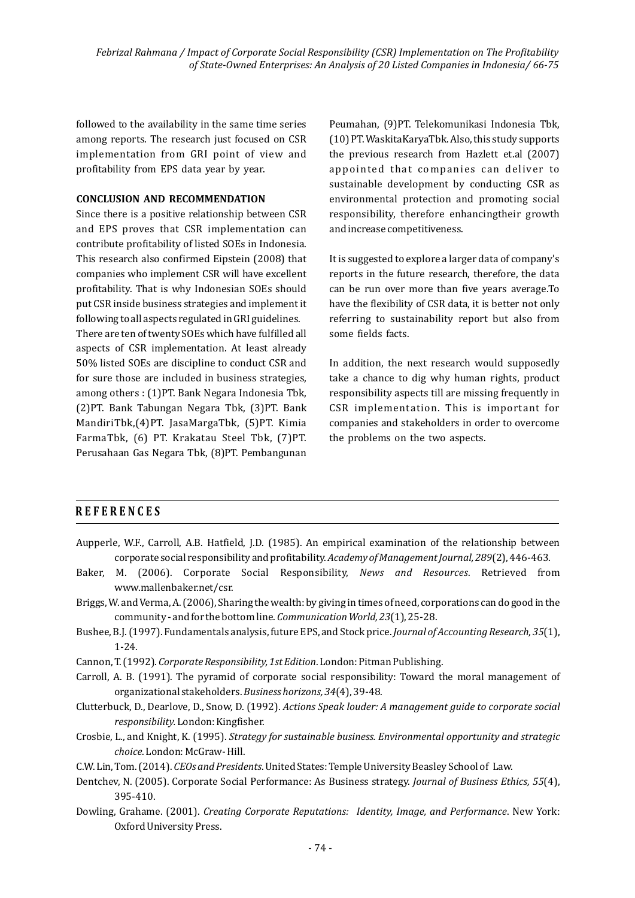followed to the availability in the same time series among reports. The research just focused on CSR implementation from GRI point of view and profitability from EPS data year by year.

#### **CONCLUSION AND RECOMMENDATION**

Since there is a positive relationship between CSR and EPS proves that CSR implementation can contribute profitability of listed SOEs in Indonesia. This research also confirmed Eipstein (2008) that companies who implement CSR will have excellent profitability. That is why Indonesian SOEs should put CSR inside business strategies and implement it following to all aspects regulated in GRI guidelines.

There are ten of twenty SOEs which have fulfilled all aspects of CSR implementation. At least already 50% listed SOEs are discipline to conduct CSR and for sure those are included in business strategies, among others : (1)PT. Bank Negara Indonesia Tbk, (2)PT. Bank Tabungan Negara Tbk, (3)PT. Bank MandiriTbk,(4)PT. JasaMargaTbk, (5)PT. Kimia FarmaTbk, (6) PT. Krakatau Steel Tbk, (7)PT. Perusahaan Gas Negara Tbk, (8)PT. Pembangunan

Peumahan, (9)PT. Telekomunikasi Indonesia Tbk, (10) PT. WaskitaKaryaTbk. Also, this study supports the previous research from Hazlett et.al  $(2007)$ appointed that companies can deliver to sustainable development by conducting CSR as environmental protection and promoting social responsibility, therefore enhancingtheir growth and increase competitiveness.

It is suggested to explore a larger data of company's reports in the future research, therefore, the data can be run over more than five years average.To have the flexibility of CSR data, it is better not only referring to sustainability report but also from some fields facts.

In addition, the next research would supposedly take a chance to dig why human rights, product responsibility aspects till are missing frequently in CSR implementation. This is important for companies and stakeholders in order to overcome the problems on the two aspects.

#### **REFERENCES**

- Aupperle, W.F., Carroll, A.B. Hatfield, J.D. (1985). An empirical examination of the relationship between corporate social responsibility and profitability. *Academy of Management Journal*, 289(2), 446-463.
- Baker, M. (2006). Corporate Social Responsibility, *News and Resources*. Retrieved from www.mallenbaker.net/csr.
- Briggs, W. and Verma, A. (2006), Sharing the wealth: by giving in times of need, corporations can do good in the community - and for the bottom line. *Communication World*, 23(1), 25-28.
- Bushee, B.J. (1997). Fundamentals analysis, future EPS, and Stock price. *Journal of Accounting Research, 35*(1), 1-24.
- Cannon, T. (1992). *Corporate Responsibility, 1st Edition*. London: Pitman Publishing.
- Carroll, A. B. (1991). The pyramid of corporate social responsibility: Toward the moral management of organizational stakeholders. Business horizons, 34(4), 39-48.
- Clutterbuck, D., Dearlove, D., Snow, D. (1992). *Actions Speak louder: A management quide to corporate social responsibility.* London: Kingfisher.
- Crosbie, L., and Knight, K. (1995). *Strategy for sustainable business. Environmental opportunity and strategic choice*. London: McGraw- Hill.
- C.W. Lin, Tom. (2014). *CEOs and Presidents*. United States: Temple University Beasley School of Law.
- Dentchev, N. (2005). Corporate Social Performance: As Business strategy. *Journal of Business Ethics, 55*(4), 395-410.
- Dowling, Grahame. (2001). *Creating Corporate Reputations: Identity, Image, and Performance.* New York: Oxford University Press.